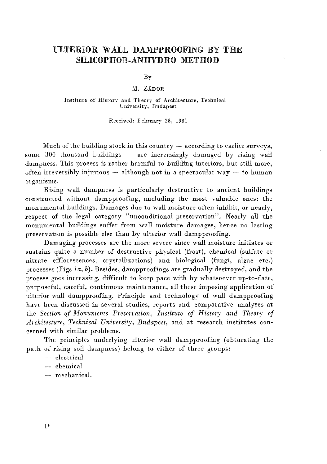# ULTERIOR WALL DAMPPROOFING BY THE SILICOPHOB-ANHYDRO METHOD

 $Bv$ 

M. Zádor

## Institute of History and Theory of Architecture, Technical Univereity, Budapest

Received: February 23, 1981

Much of the building stock in this country  $-$  according to earlier surveys, some  $300$  thousand buildings  $-$  are increasingly damaged by rising wall dampness. This process is rather harmful to building interiors, but still more, often irreversibly injurious  $-$  although not in a spectacular way  $-$  to human organisms.

Rising wall dampness is particularly destructive to ancient buildings constructed without dampproofing, uncluding the most valuable ones: the monumental buildings. Damages due to wall moisture often inhibit, or nearly, respect of the legal category "unconditional preservation". Nearly all the monumental buildings suffer from wall moisture damages, hence no lasting preservation is possible else than hy ulterior wall dampproofing.

Damaging processes are the more severe since wall moisture initiates or sustains quite a number of destructive physical (frost), chemical (sulfate or nitrate efflorescences, crystallizations) and biological (fungi, algae etc.) processes (Figs *la, b).* Besides, dampproofings are gradually destroyed, and the process goes increasing, difficult to keep pace with by whatsoever up-to-date, purposeful, careful, continuous maintenance, all these imposing application of ulterior wall dampproofing. Principle and technology of wall dampproofing have been discussed in several studies, reports and comparative analyses at the *Section of Monuments Preservation, Institute of History and Theory of Architecture, Technical University, Budapest,* and at research institutes concerned with similar problems.

The principles underlying ulterior wall dampproofing (obturating the path of rising soil dampness) belong to either of three groups:

- $-$  electrical
- chemical
- $-$  mechanical.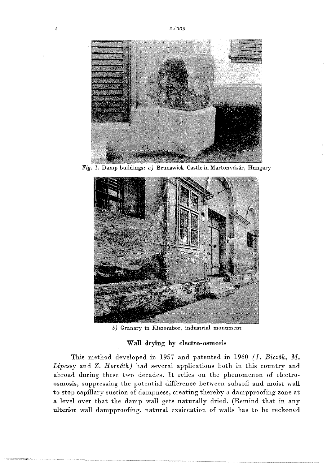

Fig. 1. Damp buildings:  $a)$  Brunswick Castle in Martonvásár, Hungary



*b)* Granary in Kiszombor, industrial monument

## Wall drying by electro-osmosis

This method developed in 1957 and patented in 1960 *(I. Bicz6k, M.* Lipcsey and Z. *Horváth*) had several applications both in this country and abroad during these two decades. It relies on the phenomenon of electroosmosis, suppressing the potential difference between subsoil and moist wall to stop capillary suction of dampness, creating thereby a dampproofing zone at a level over that the damp wall gets naturally dried. (Remind that in any ulterior wall dampproofing, natural exsiccation of walls has to be reckoned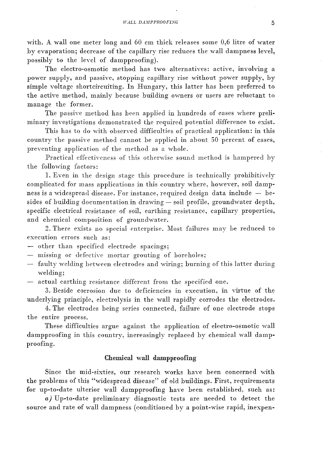with. A wall one meter long and 60 cm thick releases some 0,6 litre of water by evaporation; decrease of the capillary rise reduces the wall dampness level, possibly to the level of dampproofing).

The electro-osmotic method has two alternatives: active, involving a power supply, and passive, stopping capillary rise without power supply, by simple voltage shortcircuiting. In Hungary, this latter has heen preferred to the active method, mainly he cause building owners or users are reluctant to manage the former.

The passive method has been applied in hundreds of cases where preliminary investigations demonstrated the required potential difference to exist.

This has to do with observed difficulties of practical application: in this country the passive method cannot be applied in about 50 percent of cases, preventing application of the method as a whole.

Practical effectiveness of this otherwise sound method is hampered hy the following factors:

1. Even in the design stage this procedure is technically prohibitively complicated for mass applications in this country where, however, soil damp· ness is a widespread disease. For instance, required design data include - besides of building documentation in drawing - soil profile, groundwater depth, specific electrical resistance of soil, earthing resistance, capillary properties, and chemical composition of groundwater.

2. There exists no special enterprise. Most failures may be reduced to execution errors such as:

- other than specified electrode spacings;

- missing or defective mortar grouting of boreholes;
- $-$  faulty welding between electrodes and wiring; burning of this latter during welding:
- actual earthing resistance different from the specified one.

3. Beside corrosion due to deficiencies in execution, in virtue of the underlying principle, electrolysis in the wall rapidly corrodes the electrodes.

4. The electrodes heing series connected, failure of one electrode stops the entire process.

These difficulties argue against the application of electro-osmotic wall dampproofing in this country, increasingly replaced by chemical wall dampproofing.

# Chemical wall dampproofing

Since the mid-sixties, our research works have been concerned with the prohlems of this "widespread disease" of old huildings. First, requirements for up-to-date ulterior wall dampproofing have heen estahlished, such as:

*a)* Up-to-date preliminary diagnostic tests are needed to detect the source and rate of wall dampness (conditioned by a point-wise rapid, inexpen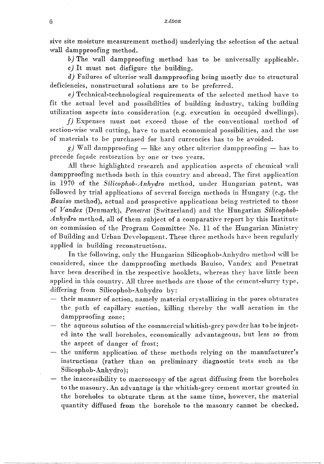sive site moisture measurement method) underlying the selection of the actual wall dampproofing method.

*b)* The wall dampproofing method has to be universally applicable. c) It must not disfigure the building.

*d)* Failures of ulterior wall dampproofing being mostly due to structural deficiencies, nonstructural solutions are to be preferred.

*e)* Technical-technological requirements of the selected method have to fit the actual level and possibilities of building industry, taking building utilization aspects into consideration (e.g. execution in occupied dwellings).

*f)* Expenses must not exceed those of the conventional method of section-wise wall cutting, have to match economical possibilities, and the use of materials to be purchased for hard currencies has to be avoided.

g) Wall dampproofing  $-$  like any other ulterior dampproofing  $-$  has to precede façade restoration by one or two years.

All these highlighted research and application aspects of chemical wall dampproofing methods both in this country and abroad. The first application in *1970* of the *Silicophob-Anhydro* method, under Hungarian patent, was followed by trial applications of several foreign methods in Hungary (e.g. the *Bauiso* method), actual and prospective applications being restricted to those of *Vandex* (Denmark), *Penetrat* (Switzerland) and the Hungarian *Silicophob-Anhydro* method, all of them subject of a comparative report by this Institute on commission of the Program Committee No. 11 of the Hungarian Ministry of Building and Urban Deyelopment. These three methods have been regularly applied in huilding reconstructions.

In the following, only the Hungarian Silicophob-Anhydro method will be considered, since the dampproofing methods Bauiso, Vandex and Penetrat have been described in the respective booklets, whereas they have little been applied in this country. All three methods are those of the cement-slurry type, differing from Silicophoh-Anhydro hy:

- their manner of action, namely material crystallizing in the pores ohturates the path of capillary suction, killing therehy the wall aeration in the dampproofing zone;
- $-$  the aqueous solution of the commercial whitish-grey powder has to be injected into the wall horeholes, economically advantageous, hut less so from the aspect of danger of frost;
- the uniform application of these methods relying on the manufacturer's instructions (rather than on preliminary diagnostic tests such as the Silicophob-Anhydro);
- $-$  the inaccessibility to macroscopy of the agent diffusing from the boreholes to the masonry. An advantage is the whitish-grey cement mortar grouted in the boreholes to obturate them at the same time, however, the material quantity diffused from the borehole to the masonry cannot be checked.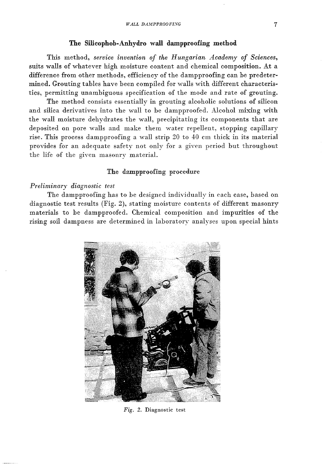## **The Silicophob-Anhydro wall dampproofing method**

This method, *service invention of the Hungarian Academy of Sciences,*  suits walls of whatever high moisture content and chemical composition. At a difference from other methods, efficiency of the dampproofing can be predetermined. Grouting tables have been compiled for walls with different characteristics, permitting unambiguous specification of the mode and rate of grouting.

The method consists essentially in grouting alcoholic solutions of silicon and silica derivatives into the wall to be dampproofed. Alcohol mixing with the wall moisture dehydrates the wall, precipitating its components that are deposited on pore walls and make them water repellent, stopping capillary rise. This process dampproofing a wall strip  $20$  to  $40$  cm thick in its material provides for an adequate safety not only for a gIven period but throughout the life of the given masonry material.

## The dampproofing procedure

### *Preliminary diagnostic test*

The dampproofing has to be designed individually in each case, based on diagnostic test results (Fig. 2), stating moisture contents of different masonry materials to be dampproofed. Chemical composition and impurities of the rising soil dampness are determined in laboratory analyses upon special hints



Fig. 2. Diagnostic test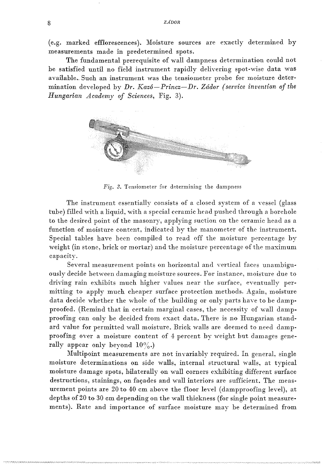(e.g. marked efflorescences). Moisture sources are exactly determined by measurements made in predetermined spots.

The fundamental prerequisite of wall dampness determinatiou could not be satisfied until no field instrument rapidly delivering spot-wise data was available. Such an instrument was the tensiometer probe for moisture determination developed by Dr. Kazó-Princz-Dr. Zádor (service invention of the *Hungarian Academy of Sciences,* Fig. 3).



*Fig.* 3. Tensiometer for determining the dampness

The instrument essentially consists of a closed system of a vessel (glass tube) filled with a liquid, with a special ceramic head pushed through a borehole to the desired point of the masonry, applying suction on the ceramic head as a function of moisture content, indicated by the manometer of the instrument. Special tables have been compiled to read off the moisture percentage by weight (in stonc, brick or mortar) and the moisture percentage of the maximum capacity.

Several measurement points on horizontal and vertical faces unambiguously decide between damaging moisture sources. For instance, moisture due to driving rain exhibits much higher values near the surface, eventually permitting to apply much cheaper surface protection methods. Again, moisture data decide whether the whole of the huilding or only parts have to he dampproofed. (Remind that in certain marginal cases, the necessity of wall dampproofing can only he decided from exact data. There is no Hungarian standard value for permitted wall moisture. Brick walls are deemed to need dampproofing over a moisture content of 4 percent by weight but damages generally appear only beyond  $10\%$ .

Multipoint measurements are not invariably required. In general, single moisture determinations on side walls, internal structural walls, at typical moisture damage spots, hilaterally on wall corners exhibiting different surface destructions, stainings, on façades and wall interiors are sufficient. The measurement points are 20 to 40 cm above the floor level (dampproofing level), at depths of 20 to 30 cm depending on the wall thickness (for single point measurements). Rate and importance of surface moisture may be determined from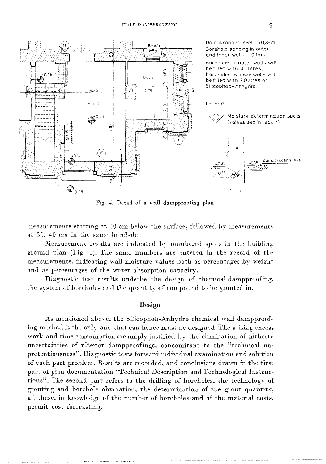

*Fig.* 4. Detail of a wall dampproofing plan

measurements starting at 10 cm below the surface, followed by measurements at 30, 40 cm in the same horehole.

Measurement results are indicated by numbered spots in the building ground plan (Fig. 4). The same numbers are entered in the record of the measurements, indicating wall moisture values both as percentages by weight and as percentages of the water absorption capacity.

Diagnostic test results underlie the design of chemical dampproofing, the system of boreholes and the quantity of compound to be grouted in.

## Design

As mentioned above, the Silicophoh-Anhydro chemical wall dampproofing method is the only one that can hence must be designed. The arising excess work and time consumption are amply justified by the elimination of hitherto uncertainties of ulterior dampproofings, concomitant to the "technical **un**pretentiousness". Diagnostic tests forward individual examination and solution of eaeh part problem. Results are recorded, and conclusions drawn in the first part of plan documentation "Technical Description and Technological Instructions". The second part refers to the drilling of boreholes, the technology of grouting and horehole obturation, the determination of the grout quantity, all these, in knowledge of the number of bore holes and of the material costs, permit cost forecasting.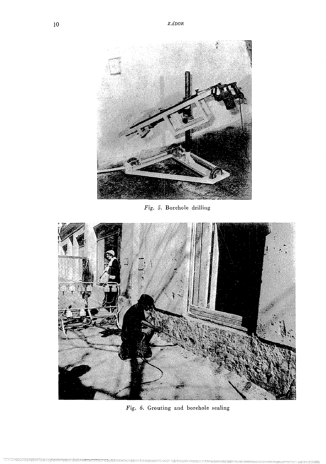

Fig. 5. Borehole drilling



*Fig.* 6. Grouting and borehole sealing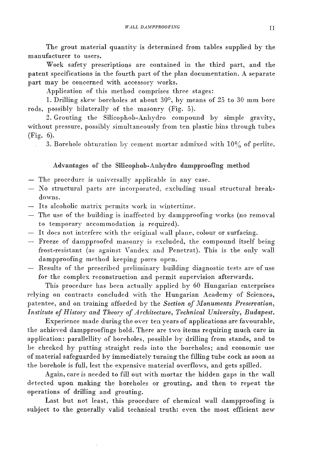The grout material quantity is determined from tables supplied by the manufacturer to users.

Work safety prescriptions are contained in the third part, and the patent specifications in the fourth part of the plan documentation. A separate part may be concerned with accessory works.

Application of this method comprises three stages:

1. Drilling skew boreholes at about 30°, by means of 25 to 30 mm hore rods, possibly bilaterally of the masonry (Fig. 5).

2. Grouting the Silicophob-Anhydro compound by simple gravity, 'without pressure, possibly simultaneously from ten plastic bins through tubes (Fig. 6).

3. Borehole obturation by cement mortar admixed with 10% of perlite.

# Advantages of the Silicophoh-Anhydro dampproofing method

- The procedure is universally applicable in any case.
- No structural parts are incorporated, excluding usual structural breakdowns.
- Its alcoholic matrix permits work in wintertime.
- The use of the building is inaffected by dampproofing works (no removal to temporary accommodation is required).
- It does not interfere with the original wall plane, colour or surfacing.
- Freeze of dampproofed masonry is excluded, the compound itself being frost-resistant (as against Vandex and Penetrat). This is the only wall dampproofing method keeping pores open.
- Results of the prescribed preliminary building diagnostic tests are of use for the complex reconstruction and permit supervision afterwards.

This procedure has been actually applied by 60 Hungarian enterprises relying on contracts concluded with the Hungarian Academy of Sciences, patentee, and on training afforded by the *Section of Monuments Preservation*, *Institute of History and Theory of Architecture, Technical University, Budapest.* 

Experience made during the over ten years of applications are favourable, the achieved dampproofings hold. There are two items requiring much care in application: parallellity of boreholes, possible by drilling from stands, and to be checked by putting straight rods into the boreholes; and economic use of material safeguarded by immediately turning the filling tube cock as soon as the borehole is full, lest the expensive material overflows, and gets spilled.

Again, care is needed to fill out with mortar the hidden gaps in the wall detected upon making the boreholes or grouting, and then to repeat the operations of drilling and grouting.

Last but not least, this procedure of chemical wall dampproofing is subject to the generally valid technical truth: even the most efficient new